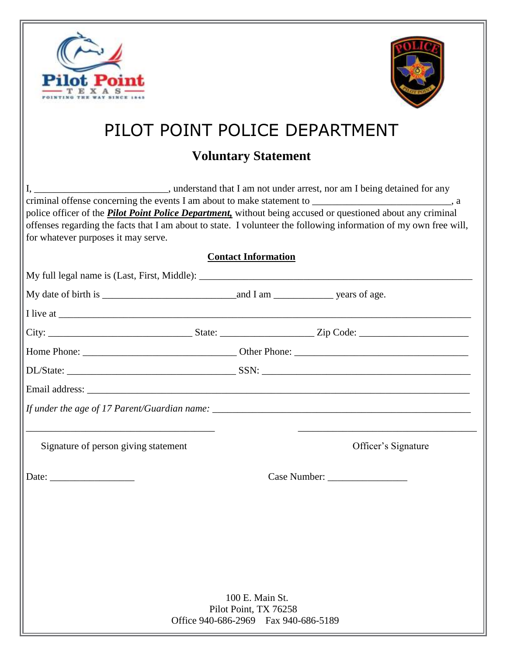



## PILOT POINT POLICE DEPARTMENT

## **Voluntary Statement**

I, \_\_\_\_\_\_\_\_\_\_\_\_\_\_\_\_\_\_\_\_\_\_\_\_\_\_\_, understand that I am not under arrest, nor am I being detained for any criminal offense concerning the events I am about to make statement to \_\_\_\_\_\_\_\_\_\_\_\_\_\_\_\_\_\_\_\_\_\_, a police officer of the *Pilot Point Police Department,* without being accused or questioned about any criminal offenses regarding the facts that I am about to state. I volunteer the following information of my own free will, for whatever purposes it may serve. **Contact Information** My full legal name is (Last, First, Middle): \_\_\_\_\_\_\_\_\_\_\_\_\_\_\_\_\_\_\_\_\_\_\_\_\_\_\_\_\_\_\_\_\_\_\_\_\_\_\_\_\_\_\_\_\_\_\_\_\_\_\_\_\_\_\_

|                                      |                                       | <u> 1989 - Johann Barbara, margaret eta idazlea (h. 1989).</u> |  |
|--------------------------------------|---------------------------------------|----------------------------------------------------------------|--|
| Signature of person giving statement |                                       | Officer's Signature                                            |  |
|                                      |                                       |                                                                |  |
|                                      |                                       |                                                                |  |
|                                      |                                       |                                                                |  |
|                                      |                                       |                                                                |  |
|                                      |                                       |                                                                |  |
|                                      |                                       |                                                                |  |
|                                      | 100 E. Main St.                       |                                                                |  |
|                                      | Pilot Point, TX 76258                 |                                                                |  |
|                                      | Office 940-686-2969  Fax 940-686-5189 |                                                                |  |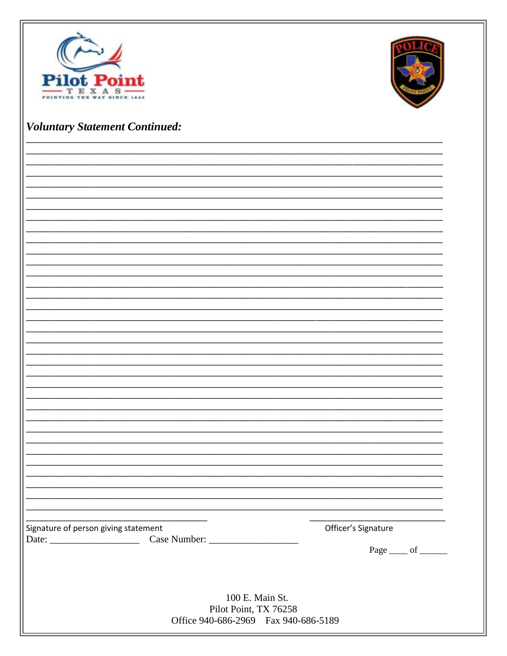



## **Voluntary Statement Continued:**

| Signature of person giving statement  | Officer's Signature |
|---------------------------------------|---------------------|
|                                       |                     |
|                                       | Page ____ of _____  |
|                                       |                     |
|                                       |                     |
|                                       |                     |
|                                       |                     |
| 100 E. Main St.                       |                     |
| Pilot Point, TX 76258                 |                     |
| Office 940-686-2969  Fax 940-686-5189 |                     |
|                                       |                     |